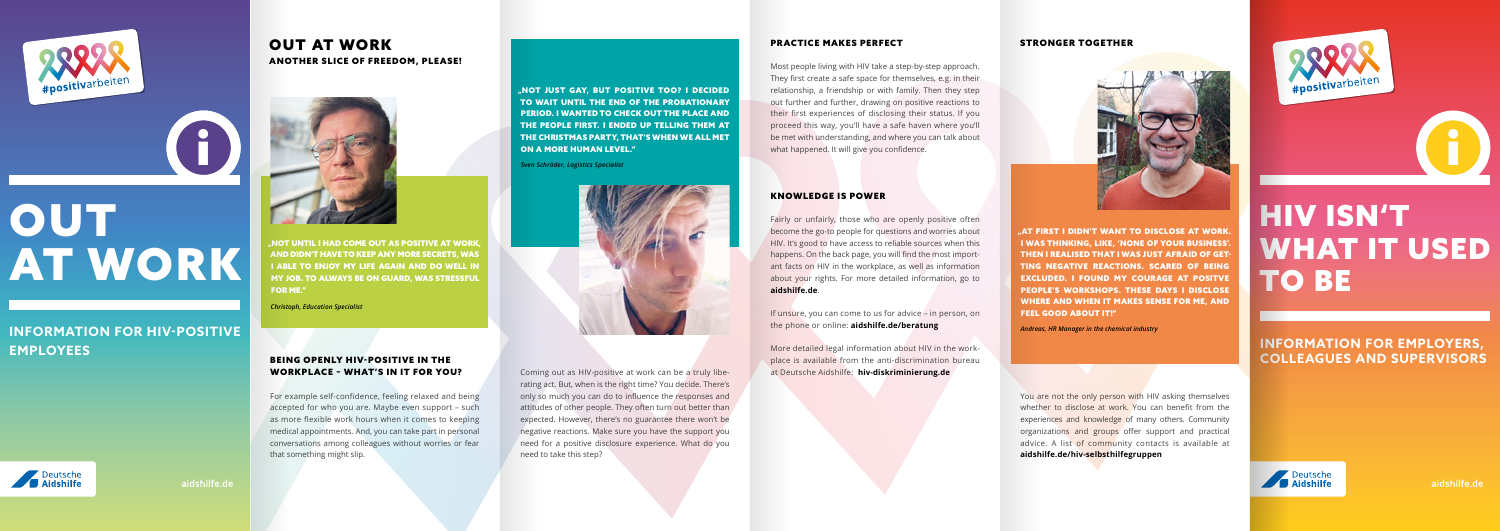

**OUT** 



"AT FIRST I DIDN'T WANT TO DISCLOSE AT WORK. I WAS THINKING, LIKE, 'NONE OF YOUR BUSINESS'. THEN I REALISED THAT I WAS JUST AFRAID OF GET-TING NEGATIVE REACTIONS. SCARED OF BEING EXCLUDED. I FOUND MY COURAGE AT POSITVE PEOPLE'S WORKSHOPS. THESE DAYS I DISCLOSE WHERE AND WHEN IT MAKES SENSE FOR ME, AND FEEL GOOD ABOUT IT!"

AT WORK

**INFORMATION FOR HIV-POSITIVE**

**EMPLOYEES**

aidshilfe.de

# HIV ISN'T WHAT IT USED TO BE

**INFORMATION FOR EMPLOYERS, COLLEAGUES AND SUPERVISORS**



"NOT UNTIL I HAD COME OUT AS POSITIVE AT WORK, AND DIDN'T HAVE TO KEEP ANY MORE SECRETS, WAS I ABLE TO ENJOY MY LIFE AGAIN AND DO WELL IN MY JOB. TO ALWAYS BE ON GUARD, WAS STRESSFUL FOR ME."

*Christoph, Education Specialist*

"NOT JUST GAY, BUT POSITIVE TOO? I DECIDED TO WAIT UNTIL THE END OF THE PROBATIONARY PERIOD. I WANTED TO CHECK OUT THE PLACE AND THE PEOPLE FIRST. I ENDED UP TELLING THEM AT THE CHRISTMAS PARTY, THAT'S WHEN WE ALL MET ON A MORE HUMAN LEVEL."

*Sven Schröder, Logistics Specialist*



## OUT AT WORK ANOTHER SLICE OF FREEDOM, PLEASE!



### BEING OPENLY HIV-POSITIVE IN THE WORKPLACE – WHAT'S IN IT FOR YOU?

For example self-confidence, feeling relaxed and being accepted for who you are. Maybe even support – such as more flexible work hours when it comes to keeping medical appointments. And, you can take part in personal conversations among colleagues without worries or fear that something might slip.

### PRACTICE MAKES PERFECT

Most people living with HIV take a step-by-step approach. They first create a safe space for themselves, e.g. in their relationship, a friendship or with family. Then they step out further and further, drawing on positive reactions to their first experiences of disclosing their status. If you proceed this way, you'll have a safe haven where you'll be met with understanding, and where you can talk about what happened. It will give you confidence.

### KNOWLEDGE IS POWER

Fairly or unfairly, those who are openly positive often become the go-to people for questions and worries about HIV. It's good to have access to reliable sources when this happens. On the back page, you will find the most important facts on HIV in the workplace, as well as information about your rights. For more detailed information, go to

**[aidshilfe.de](http://www.aidshilfe.de)**.

If unsure, you can come to us for advice – in person, on the phone or online: **[aidshilfe.de/beratung](http://www.aidshilfe.de/beratung)**

More detailed legal information about HIV in the workplace is available from the anti-discrimination bureau at Deutsche Aidshilfe: **[hiv-diskriminierung.de](http://www.hiv-diskriminierung.de)**



*Andreas, HR Manager in the chemical industry*

You are not the only person with HIV asking themselves whether to disclose at work. You can benefit from the experiences and knowledge of many others. Community organizations and groups offer support and practical advice. A list of community contacts is available at **[aidshilfe.de/hiv-selbsthilfegruppen](http://www.aidshilfe.de/hiv-selbsthilfegruppen)**



Coming out as HIV-positive at work can be a truly liberating act. But, when is the right time? You decide. There's only so much you can do to influence the responses and attitudes of other people. They often turn out better than expected. However, there's no guarantee there won't be negative reactions. Make sure you have the support you need for a positive disclosure experience. What do you need to take this step?

### STRONGER TOGETHER